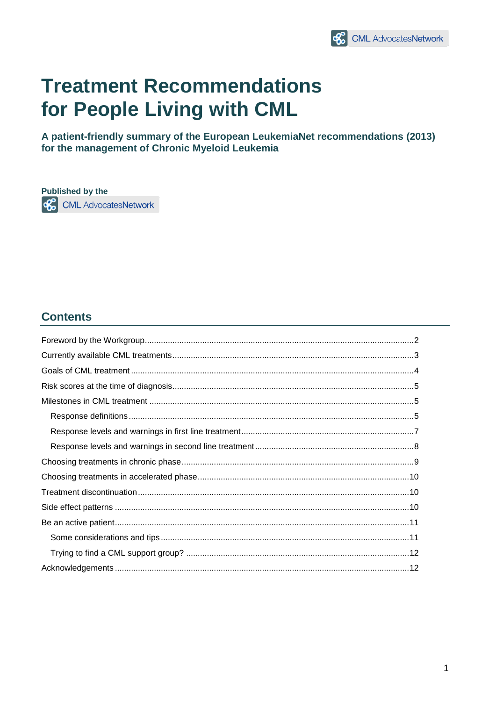

# **Treatment Recommendations** for People Living with CML

A patient-friendly summary of the European LeukemiaNet recommendations (2013) for the management of Chronic Myeloid Leukemia

**Published by the CML** AdvocatesNetwork  $\mathbf{R}^{\circ}$ 

# **Contents**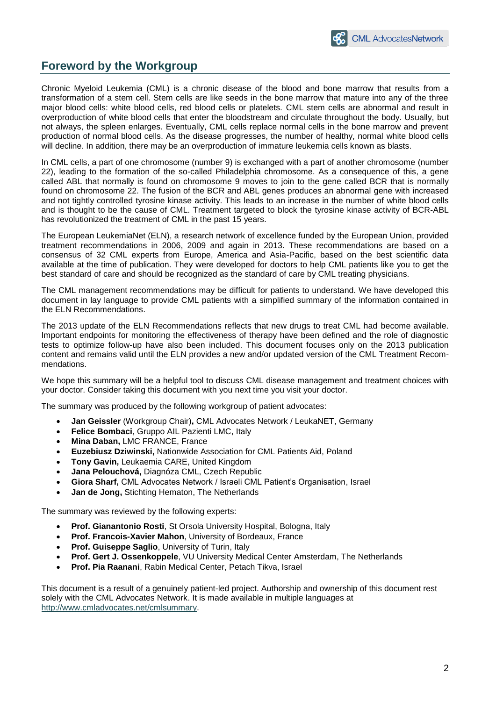

# <span id="page-1-0"></span>**Foreword by the Workgroup**

Chronic Myeloid Leukemia (CML) is a chronic disease of the blood and bone marrow that results from a transformation of a stem cell. Stem cells are like seeds in the bone marrow that mature into any of the three major blood cells: white blood cells, red blood cells or platelets. CML stem cells are abnormal and result in overproduction of white blood cells that enter the bloodstream and circulate throughout the body. Usually, but not always, the spleen enlarges. Eventually, CML cells replace normal cells in the bone marrow and prevent production of normal blood cells. As the disease progresses, the number of healthy, normal white blood cells will decline. In addition, there may be an overproduction of immature leukemia cells known as blasts.

In CML cells, a part of one chromosome (number 9) is exchanged with a part of another chromosome (number 22), leading to the formation of the so-called Philadelphia chromosome. As a consequence of this, a gene called ABL that normally is found on chromosome 9 moves to join to the gene called BCR that is normally found on chromosome 22. The fusion of the BCR and ABL genes produces an abnormal gene with increased and not tightly controlled tyrosine kinase activity. This leads to an increase in the number of white blood cells and is thought to be the cause of CML. Treatment targeted to block the tyrosine kinase activity of BCR-ABL has revolutionized the treatment of CML in the past 15 years.

The European LeukemiaNet (ELN), a research network of excellence funded by the European Union, provided treatment recommendations in 2006, 2009 and again in 2013. These recommendations are based on a consensus of 32 CML experts from Europe, America and Asia-Pacific, based on the best scientific data available at the time of publication. They were developed for doctors to help CML patients like you to get the best standard of care and should be recognized as the standard of care by CML treating physicians.

The CML management recommendations may be difficult for patients to understand. We have developed this document in lay language to provide CML patients with a simplified summary of the information contained in the ELN Recommendations.

The 2013 update of the ELN Recommendations reflects that new drugs to treat CML had become available. Important endpoints for monitoring the effectiveness of therapy have been defined and the role of diagnostic tests to optimize follow-up have also been included. This document focuses only on the 2013 publication content and remains valid until the ELN provides a new and/or updated version of the CML Treatment Recommendations.

We hope this summary will be a helpful tool to discuss CML disease management and treatment choices with your doctor. Consider taking this document with you next time you visit your doctor.

The summary was produced by the following workgroup of patient advocates:

- **Jan Geissler** (Workgroup Chair)**,** CML Advocates Network / LeukaNET, Germany
- **Felice Bombaci**, Gruppo AIL Pazienti LMC, Italy
- **Mina Daban,** LMC FRANCE, France
- **Euzebiusz Dziwinski,** Nationwide Association for CML Patients Aid, Poland
- **Tony Gavin,** Leukaemia CARE, United Kingdom
- **Jana Pelouchová,** Diagnóza CML, Czech Republic
- **Giora Sharf,** CML Advocates Network / Israeli CML Patient's Organisation, Israel
- **Jan de Jong,** Stichting Hematon, The Netherlands

The summary was reviewed by the following experts:

- **Prof. Gianantonio Rosti**, St Orsola University Hospital, Bologna, Italy
- **Prof. Francois-Xavier Mahon**, University of Bordeaux, France
- **Prof. Guiseppe Saglio**, University of Turin, Italy
- **Prof. Gert J. Ossenkoppele**, VU University Medical Center Amsterdam, The Netherlands
- **Prof. Pia Raanani**, Rabin Medical Center, Petach Tikva, Israel

This document is a result of a genuinely patient-led project. Authorship and ownership of this document rest solely with the CML Advocates Network. It is made available in multiple languages at [http://www.cmladvocates.net/cmlsummary.](http://www.cmladvocates.net/cmlsummary)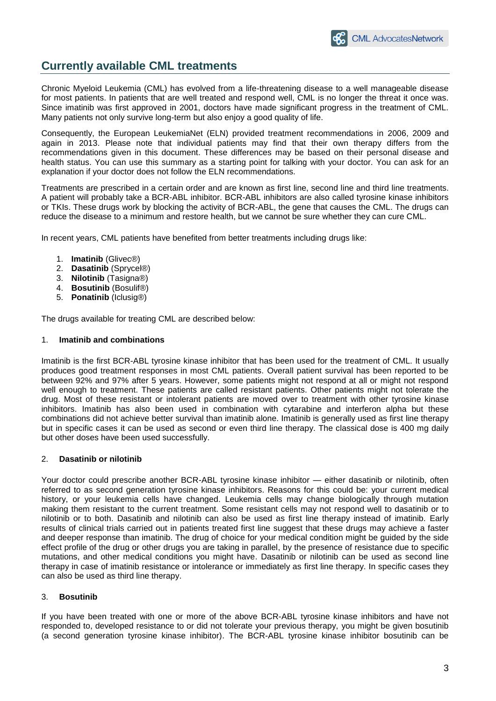

# <span id="page-2-0"></span>**Currently available CML treatments**

Chronic Myeloid Leukemia (CML) has evolved from a life-threatening disease to a well manageable disease for most patients. In patients that are well treated and respond well, CML is no longer the threat it once was. Since imatinib was first approved in 2001, doctors have made significant progress in the treatment of CML. Many patients not only survive long-term but also enjoy a good quality of life.

Consequently, the European LeukemiaNet (ELN) provided treatment recommendations in 2006, 2009 and again in 2013. Please note that individual patients may find that their own therapy differs from the recommendations given in this document. These differences may be based on their personal disease and health status. You can use this summary as a starting point for talking with your doctor. You can ask for an explanation if your doctor does not follow the ELN recommendations.

Treatments are prescribed in a certain order and are known as first line, second line and third line treatments. A patient will probably take a BCR-ABL inhibitor. BCR-ABL inhibitors are also called tyrosine kinase inhibitors or TKIs. These drugs work by blocking the activity of BCR-ABL, the gene that causes the CML. The drugs can reduce the disease to a minimum and restore health, but we cannot be sure whether they can cure CML.

In recent years, CML patients have benefited from better treatments including drugs like:

- 1. **Imatinib** (Glivec®)
- 2. **Dasatinib** (Sprycel®)
- 3. **Nilotinib** (Tasigna®)
- 4. **Bosutinib** (Bosulif®)
- 5. **Ponatinib** (Iclusig®)

The drugs available for treating CML are described below:

#### 1. **Imatinib and combinations**

Imatinib is the first BCR-ABL tyrosine kinase inhibitor that has been used for the treatment of CML. It usually produces good treatment responses in most CML patients. Overall patient survival has been reported to be between 92% and 97% after 5 years. However, some patients might not respond at all or might not respond well enough to treatment. These patients are called resistant patients. Other patients might not tolerate the drug. Most of these resistant or intolerant patients are moved over to treatment with other tyrosine kinase inhibitors. Imatinib has also been used in combination with cytarabine and interferon alpha but these combinations did not achieve better survival than imatinib alone. Imatinib is generally used as first line therapy but in specific cases it can be used as second or even third line therapy. The classical dose is 400 mg daily but other doses have been used successfully.

## 2. **Dasatinib or nilotinib**

Your doctor could prescribe another BCR-ABL tyrosine kinase inhibitor — either dasatinib or nilotinib, often referred to as second generation tyrosine kinase inhibitors. Reasons for this could be: your current medical history, or your leukemia cells have changed. Leukemia cells may change biologically through mutation making them resistant to the current treatment. Some resistant cells may not respond well to dasatinib or to nilotinib or to both. Dasatinib and nilotinib can also be used as first line therapy instead of imatinib. Early results of clinical trials carried out in patients treated first line suggest that these drugs may achieve a faster and deeper response than imatinib. The drug of choice for your medical condition might be guided by the side effect profile of the drug or other drugs you are taking in parallel, by the presence of resistance due to specific mutations, and other medical conditions you might have. Dasatinib or nilotinib can be used as second line therapy in case of imatinib resistance or intolerance or immediately as first line therapy. In specific cases they can also be used as third line therapy.

## 3. **Bosutinib**

If you have been treated with one or more of the above BCR-ABL tyrosine kinase inhibitors and have not responded to, developed resistance to or did not tolerate your previous therapy, you might be given bosutinib (a second generation tyrosine kinase inhibitor). The BCR-ABL tyrosine kinase inhibitor bosutinib can be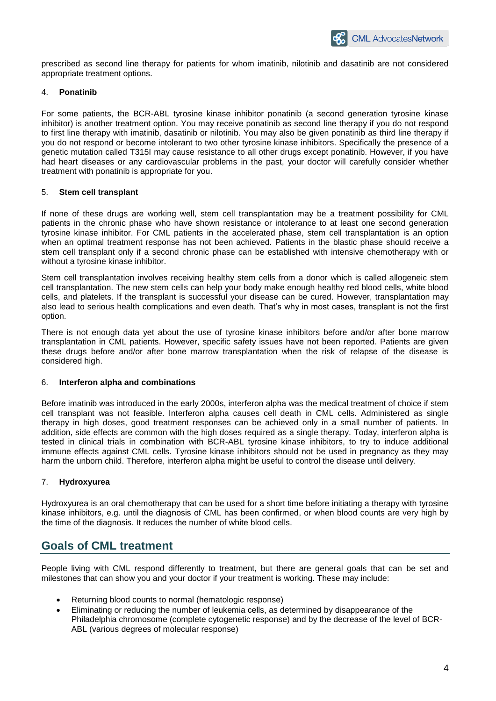

prescribed as second line therapy for patients for whom imatinib, nilotinib and dasatinib are not considered appropriate treatment options.

## 4. **Ponatinib**

For some patients, the BCR-ABL tyrosine kinase inhibitor ponatinib (a second generation tyrosine kinase inhibitor) is another treatment option. You may receive ponatinib as second line therapy if you do not respond to first line therapy with imatinib, dasatinib or nilotinib. You may also be given ponatinib as third line therapy if you do not respond or become intolerant to two other tyrosine kinase inhibitors. Specifically the presence of a genetic mutation called T315I may cause resistance to all other drugs except ponatinib. However, if you have had heart diseases or any cardiovascular problems in the past, your doctor will carefully consider whether treatment with ponatinib is appropriate for you.

## 5. **Stem cell transplant**

If none of these drugs are working well, stem cell transplantation may be a treatment possibility for CML patients in the chronic phase who have shown resistance or intolerance to at least one second generation tyrosine kinase inhibitor. For CML patients in the accelerated phase, stem cell transplantation is an option when an optimal treatment response has not been achieved. Patients in the blastic phase should receive a stem cell transplant only if a second chronic phase can be established with intensive chemotherapy with or without a tyrosine kinase inhibitor.

Stem cell transplantation involves receiving healthy stem cells from a donor which is called allogeneic stem cell transplantation. The new stem cells can help your body make enough healthy red blood cells, white blood cells, and platelets. If the transplant is successful your disease can be cured. However, transplantation may also lead to serious health complications and even death. That's why in most cases, transplant is not the first option.

There is not enough data yet about the use of tyrosine kinase inhibitors before and/or after bone marrow transplantation in CML patients. However, specific safety issues have not been reported. Patients are given these drugs before and/or after bone marrow transplantation when the risk of relapse of the disease is considered high.

#### 6. **Interferon alpha and combinations**

Before imatinib was introduced in the early 2000s, interferon alpha was the medical treatment of choice if stem cell transplant was not feasible. Interferon alpha causes cell death in CML cells. Administered as single therapy in high doses, good treatment responses can be achieved only in a small number of patients. In addition, side effects are common with the high doses required as a single therapy. Today, interferon alpha is tested in clinical trials in combination with BCR-ABL tyrosine kinase inhibitors, to try to induce additional immune effects against CML cells. Tyrosine kinase inhibitors should not be used in pregnancy as they may harm the unborn child. Therefore, interferon alpha might be useful to control the disease until delivery.

## 7. **Hydroxyurea**

Hydroxyurea is an oral chemotherapy that can be used for a short time before initiating a therapy with tyrosine kinase inhibitors, e.g. until the diagnosis of CML has been confirmed, or when blood counts are very high by the time of the diagnosis. It reduces the number of white blood cells.

## <span id="page-3-0"></span>**Goals of CML treatment**

People living with CML respond differently to treatment, but there are general goals that can be set and milestones that can show you and your doctor if your treatment is working. These may include:

- Returning blood counts to normal (hematologic response)
- Eliminating or reducing the number of leukemia cells, as determined by disappearance of the Philadelphia chromosome (complete cytogenetic response) and by the decrease of the level of BCR-ABL (various degrees of molecular response)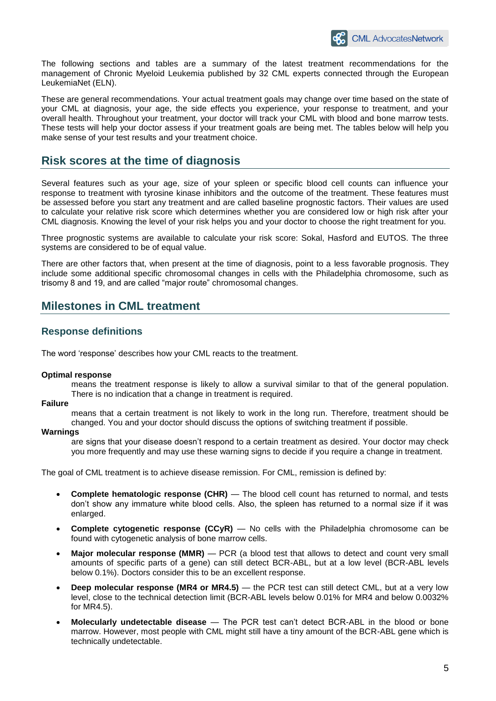The following sections and tables are a summary of the latest treatment recommendations for the management of Chronic Myeloid Leukemia published by 32 CML experts connected through the European LeukemiaNet (ELN).

These are general recommendations. Your actual treatment goals may change over time based on the state of your CML at diagnosis, your age, the side effects you experience, your response to treatment, and your overall health. Throughout your treatment, your doctor will track your CML with blood and bone marrow tests. These tests will help your doctor assess if your treatment goals are being met. The tables below will help you make sense of your test results and your treatment choice.

## <span id="page-4-0"></span>**Risk scores at the time of diagnosis**

Several features such as your age, size of your spleen or specific blood cell counts can influence your response to treatment with tyrosine kinase inhibitors and the outcome of the treatment. These features must be assessed before you start any treatment and are called baseline prognostic factors. Their values are used to calculate your relative risk score which determines whether you are considered low or high risk after your CML diagnosis. Knowing the level of your risk helps you and your doctor to choose the right treatment for you.

Three prognostic systems are available to calculate your risk score: Sokal, Hasford and EUTOS. The three systems are considered to be of equal value.

There are other factors that, when present at the time of diagnosis, point to a less favorable prognosis. They include some additional specific chromosomal changes in cells with the Philadelphia chromosome, such as trisomy 8 and 19, and are called "major route" chromosomal changes.

## <span id="page-4-1"></span>**Milestones in CML treatment**

## <span id="page-4-2"></span>**Response definitions**

The word 'response' describes how your CML reacts to the treatment.

#### **Optimal response**

means the treatment response is likely to allow a survival similar to that of the general population. There is no indication that a change in treatment is required.

#### **Failure**

means that a certain treatment is not likely to work in the long run. Therefore, treatment should be changed. You and your doctor should discuss the options of switching treatment if possible.

#### **Warnings**

are signs that your disease doesn't respond to a certain treatment as desired. Your doctor may check you more frequently and may use these warning signs to decide if you require a change in treatment.

The goal of CML treatment is to achieve disease remission. For CML, remission is defined by:

- **Complete hematologic response (CHR)** The blood cell count has returned to normal, and tests don't show any immature white blood cells. Also, the spleen has returned to a normal size if it was enlarged.
- **Complete cytogenetic response (CCyR)** No cells with the Philadelphia chromosome can be found with cytogenetic analysis of bone marrow cells.
- **Major molecular response (MMR)** PCR (a blood test that allows to detect and count very small amounts of specific parts of a gene) can still detect BCR-ABL, but at a low level (BCR-ABL levels below 0.1%). Doctors consider this to be an excellent response.
- **Deep molecular response (MR4 or MR4.5)** the PCR test can still detect CML, but at a very low level, close to the technical detection limit (BCR-ABL levels below 0.01% for MR4 and below 0.0032% for MR4.5).
- **Molecularly undetectable disease** The PCR test can't detect BCR-ABL in the blood or bone marrow. However, most people with CML might still have a tiny amount of the BCR-ABL gene which is technically undetectable.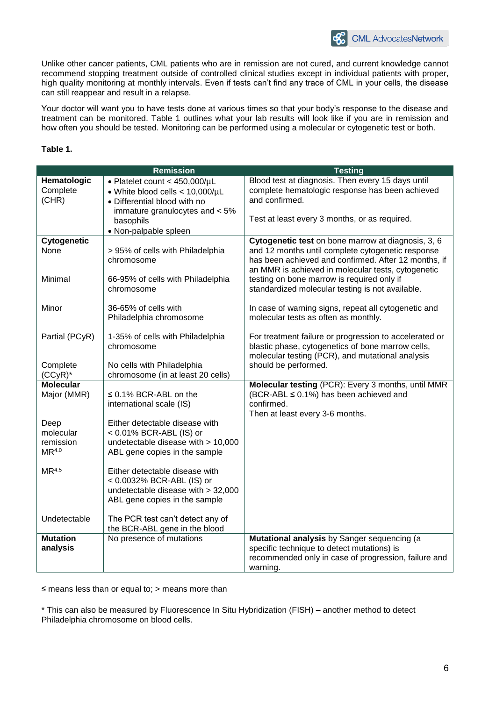**CML** AdvocatesNetwork

Unlike other cancer patients, CML patients who are in remission are not cured, and current knowledge cannot recommend stopping treatment outside of controlled clinical studies except in individual patients with proper, high quality monitoring at monthly intervals. Even if tests can't find any trace of CML in your cells, the disease can still reappear and result in a relapse.

Your doctor will want you to have tests done at various times so that your body's response to the disease and treatment can be monitored. Table 1 outlines what your lab results will look like if you are in remission and how often you should be tested. Monitoring can be performed using a molecular or cytogenetic test or both.

## **Table 1.**

|                                                     | <b>Remission</b>                                                                                                                                | <b>Testing</b>                                                                                                                                                                                                        |
|-----------------------------------------------------|-------------------------------------------------------------------------------------------------------------------------------------------------|-----------------------------------------------------------------------------------------------------------------------------------------------------------------------------------------------------------------------|
| Hematologic<br>Complete<br>(CHR)                    | • Platelet count < $450,000/\mu L$<br>• White blood cells < $10,000/\mu L$<br>· Differential blood with no<br>immature granulocytes and $< 5\%$ | Blood test at diagnosis. Then every 15 days until<br>complete hematologic response has been achieved<br>and confirmed.                                                                                                |
|                                                     | basophils<br>· Non-palpable spleen                                                                                                              | Test at least every 3 months, or as required.                                                                                                                                                                         |
| Cytogenetic<br><b>None</b>                          | > 95% of cells with Philadelphia<br>chromosome                                                                                                  | Cytogenetic test on bone marrow at diagnosis, 3, 6<br>and 12 months until complete cytogenetic response<br>has been achieved and confirmed. After 12 months, if<br>an MMR is achieved in molecular tests, cytogenetic |
| Minimal                                             | 66-95% of cells with Philadelphia<br>chromosome                                                                                                 | testing on bone marrow is required only if<br>standardized molecular testing is not available.                                                                                                                        |
| Minor                                               | 36-65% of cells with<br>Philadelphia chromosome                                                                                                 | In case of warning signs, repeat all cytogenetic and<br>molecular tests as often as monthly.                                                                                                                          |
| Partial (PCyR)                                      | 1-35% of cells with Philadelphia<br>chromosome                                                                                                  | For treatment failure or progression to accelerated or<br>blastic phase, cytogenetics of bone marrow cells,<br>molecular testing (PCR), and mutational analysis                                                       |
| Complete<br>$(CCyR)^*$                              | No cells with Philadelphia<br>chromosome (in at least 20 cells)                                                                                 | should be performed.                                                                                                                                                                                                  |
| <b>Molecular</b><br>Major (MMR)                     | $\leq$ 0.1% BCR-ABL on the<br>international scale (IS)                                                                                          | Molecular testing (PCR): Every 3 months, until MMR<br>(BCR-ABL $\leq$ 0.1%) has been achieved and<br>confirmed.<br>Then at least every 3-6 months.                                                                    |
| Deep<br>molecular<br>remission<br>MR <sup>4.0</sup> | Either detectable disease with<br>< 0.01% BCR-ABL (IS) or<br>undetectable disease with $> 10,000$<br>ABL gene copies in the sample              |                                                                                                                                                                                                                       |
| MR <sup>4.5</sup>                                   | Either detectable disease with<br>< 0.0032% BCR-ABL (IS) or<br>undetectable disease with $> 32,000$<br>ABL gene copies in the sample            |                                                                                                                                                                                                                       |
| Undetectable                                        | The PCR test can't detect any of<br>the BCR-ABL gene in the blood                                                                               |                                                                                                                                                                                                                       |
| <b>Mutation</b><br>analysis                         | No presence of mutations                                                                                                                        | Mutational analysis by Sanger sequencing (a<br>specific technique to detect mutations) is<br>recommended only in case of progression, failure and<br>warning.                                                         |

≤ means less than or equal to; > means more than

\* This can also be measured by Fluorescence In Situ Hybridization (FISH) – another method to detect Philadelphia chromosome on blood cells.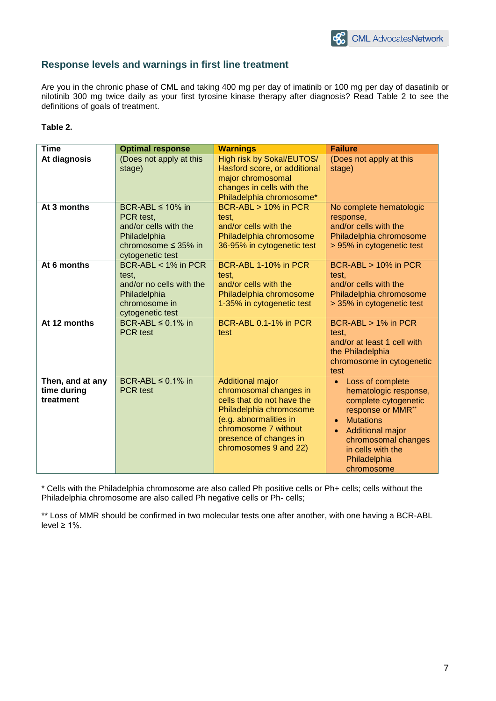

## <span id="page-6-0"></span>**Response levels and warnings in first line treatment**

Are you in the chronic phase of CML and taking 400 mg per day of imatinib or 100 mg per day of dasatinib or nilotinib 300 mg twice daily as your first tyrosine kinase therapy after diagnosis? Read Table 2 to see the definitions of goals of treatment.

#### **Table 2.**

| <b>Time</b>                                  | <b>Optimal response</b>                                                                                                                     | <b>Warnings</b>                                                                                                                                                                                                 | <b>Failure</b>                                                                                                                                                                                                                                         |
|----------------------------------------------|---------------------------------------------------------------------------------------------------------------------------------------------|-----------------------------------------------------------------------------------------------------------------------------------------------------------------------------------------------------------------|--------------------------------------------------------------------------------------------------------------------------------------------------------------------------------------------------------------------------------------------------------|
| At diagnosis                                 | (Does not apply at this<br>stage)                                                                                                           | High risk by Sokal/EUTOS/<br>Hasford score, or additional<br>major chromosomal<br>changes in cells with the<br>Philadelphia chromosome*                                                                         | (Does not apply at this<br>stage)                                                                                                                                                                                                                      |
| At 3 months                                  | BCR-ABL $\leq$ 10% in<br>PCR test.<br>and/or cells with the<br>Philadelphia<br>chromosome ≤ 35% in<br>cytogenetic test                      | BCR-ABL > 10% in PCR<br>test.<br>and/or cells with the<br>Philadelphia chromosome<br>36-95% in cytogenetic test                                                                                                 | No complete hematologic<br>response,<br>and/or cells with the<br>Philadelphia chromosome<br>> 95% in cytogenetic test                                                                                                                                  |
| At 6 months<br>At 12 months                  | $BCR-ABL < 1\%$ in PCR<br>test.<br>and/or no cells with the<br>Philadelphia<br>chromosome in<br>cytogenetic test<br>$BCR-ABL \leq 0.1\%$ in | BCR-ABL 1-10% in PCR<br>test.<br>and/or cells with the<br>Philadelphia chromosome<br>1-35% in cytogenetic test<br>BCR-ABL 0.1-1% in PCR                                                                         | $BCR-ABL > 10\%$ in PCR<br>test.<br>and/or cells with the<br>Philadelphia chromosome<br>> 35% in cytogenetic test<br>$BCR-ABL > 1\%$ in PCR                                                                                                            |
|                                              | <b>PCR</b> test                                                                                                                             | test                                                                                                                                                                                                            | test.<br>and/or at least 1 cell with<br>the Philadelphia<br>chromosome in cytogenetic<br>test                                                                                                                                                          |
| Then, and at any<br>time during<br>treatment | BCR-ABL $\leq$ 0.1% in<br><b>PCR</b> test                                                                                                   | <b>Additional major</b><br>chromosomal changes in<br>cells that do not have the<br>Philadelphia chromosome<br>(e.g. abnormalities in<br>chromosome 7 without<br>presence of changes in<br>chromosomes 9 and 22) | Loss of complete<br>$\bullet$<br>hematologic response,<br>complete cytogenetic<br>response or MMR**<br><b>Mutations</b><br>$\bullet$<br><b>Additional major</b><br>$\bullet$<br>chromosomal changes<br>in cells with the<br>Philadelphia<br>chromosome |

\* Cells with the Philadelphia chromosome are also called Ph positive cells or Ph+ cells; cells without the Philadelphia chromosome are also called Ph negative cells or Ph- cells:

\*\* Loss of MMR should be confirmed in two molecular tests one after another, with one having a BCR-ABL level ≥  $1\%$ .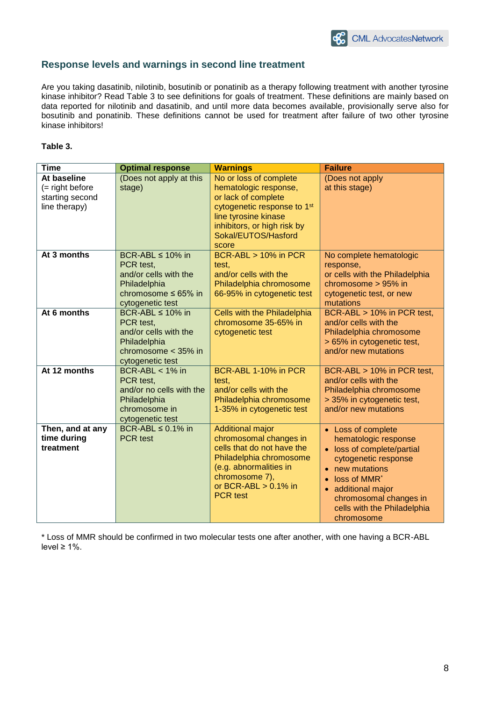## <span id="page-7-0"></span>**Response levels and warnings in second line treatment**

Are you taking dasatinib, nilotinib, bosutinib or ponatinib as a therapy following treatment with another tyrosine kinase inhibitor? Read Table 3 to see definitions for goals of treatment. These definitions are mainly based on data reported for nilotinib and dasatinib, and until more data becomes available, provisionally serve also for bosutinib and ponatinib. These definitions cannot be used for treatment after failure of two other tyrosine kinase inhibitors!

## **Table 3.**

| <b>Time</b>                                                        | <b>Optimal response</b>                                                                                                      | <b>Warnings</b>                                                                                                                                                                                          | <b>Failure</b>                                                                                                                                                                                                                                            |
|--------------------------------------------------------------------|------------------------------------------------------------------------------------------------------------------------------|----------------------------------------------------------------------------------------------------------------------------------------------------------------------------------------------------------|-----------------------------------------------------------------------------------------------------------------------------------------------------------------------------------------------------------------------------------------------------------|
| At baseline<br>(= right before<br>starting second<br>line therapy) | (Does not apply at this<br>stage)                                                                                            | No or loss of complete<br>hematologic response,<br>or lack of complete<br>cytogenetic response to 1 <sup>st</sup><br>line tyrosine kinase<br>inhibitors, or high risk by<br>Sokal/EUTOS/Hasford<br>score | (Does not apply<br>at this stage)                                                                                                                                                                                                                         |
| At 3 months                                                        | BCR-ABL $\leq$ 10% in<br>PCR test,<br>and/or cells with the<br>Philadelphia<br>chromosome $\leq 65\%$ in<br>cytogenetic test | BCR-ABL > 10% in PCR<br>test.<br>and/or cells with the<br>Philadelphia chromosome<br>66-95% in cytogenetic test                                                                                          | No complete hematologic<br>response,<br>or cells with the Philadelphia<br>chromosome > 95% in<br>cytogenetic test, or new<br>mutations                                                                                                                    |
| At 6 months                                                        | BCR-ABL $\leq 10\%$ in<br>PCR test.<br>and/or cells with the<br>Philadelphia<br>chromosome $<$ 35% in<br>cytogenetic test    | Cells with the Philadelphia<br>chromosome 35-65% in<br>cytogenetic test                                                                                                                                  | BCR-ABL > 10% in PCR test,<br>and/or cells with the<br>Philadelphia chromosome<br>> 65% in cytogenetic test,<br>and/or new mutations                                                                                                                      |
| At 12 months                                                       | $BCR-ABL < 1\%$ in<br>PCR test,<br>and/or no cells with the<br>Philadelphia<br>chromosome in<br>cytogenetic test             | BCR-ABL 1-10% in PCR<br>test.<br>and/or cells with the<br>Philadelphia chromosome<br>1-35% in cytogenetic test                                                                                           | BCR-ABL > 10% in PCR test,<br>and/or cells with the<br>Philadelphia chromosome<br>> 35% in cytogenetic test,<br>and/or new mutations                                                                                                                      |
| Then, and at any<br>time during<br>treatment                       | BCR-ABL $\leq$ 0.1% in<br>PCR test                                                                                           | <b>Additional major</b><br>chromosomal changes in<br>cells that do not have the<br>Philadelphia chromosome<br>(e.g. abnormalities in<br>chromosome 7),<br>or BCR-ABL $> 0.1\%$ in<br><b>PCR</b> test     | • Loss of complete<br>hematologic response<br>• loss of complete/partial<br>cytogenetic response<br>• new mutations<br>loss of MMR <sup>*</sup><br>$\bullet$<br>• additional major<br>chromosomal changes in<br>cells with the Philadelphia<br>chromosome |

\* Loss of MMR should be confirmed in two molecular tests one after another, with one having a BCR-ABL level  $≥ 1\%$ .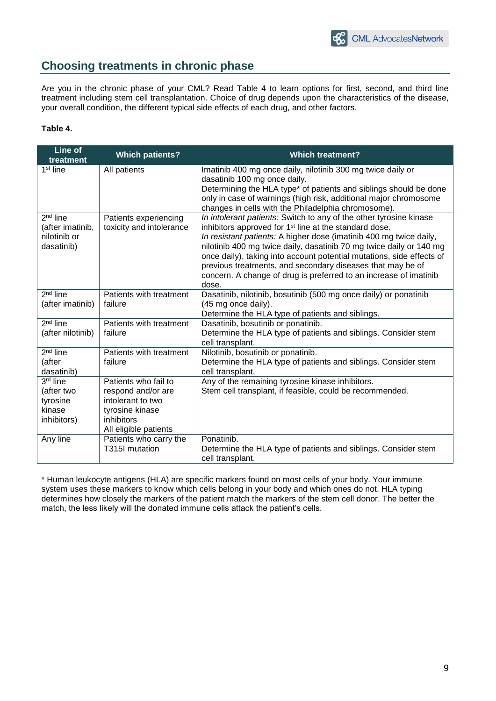# <span id="page-8-0"></span>**Choosing treatments in chronic phase**

Are you in the chronic phase of your CML? Read Table 4 to learn options for first, second, and third line treatment including stem cell transplantation. Choice of drug depends upon the characteristics of the disease, your overall condition, the different typical side effects of each drug, and other factors.

## **Table 4.**

| Line of<br>treatment                                         | <b>Which patients?</b>                                                                                                    | <b>Which treatment?</b>                                                                                                                                                                                                                                                                                                                                                                                                                                                                                    |
|--------------------------------------------------------------|---------------------------------------------------------------------------------------------------------------------------|------------------------------------------------------------------------------------------------------------------------------------------------------------------------------------------------------------------------------------------------------------------------------------------------------------------------------------------------------------------------------------------------------------------------------------------------------------------------------------------------------------|
| $1st$ line                                                   | All patients                                                                                                              | Imatinib 400 mg once daily, nilotinib 300 mg twice daily or<br>dasatinib 100 mg once daily.<br>Determining the HLA type* of patients and siblings should be done<br>only in case of warnings (high risk, additional major chromosome<br>changes in cells with the Philadelphia chromosome).                                                                                                                                                                                                                |
| $2nd$ line<br>(after imatinib,<br>nilotinib or<br>dasatinib) | Patients experiencing<br>toxicity and intolerance                                                                         | In intolerant patients: Switch to any of the other tyrosine kinase<br>inhibitors approved for 1 <sup>st</sup> line at the standard dose.<br>In resistant patients: A higher dose (imatinib 400 mg twice daily,<br>nilotinib 400 mg twice daily, dasatinib 70 mg twice daily or 140 mg<br>once daily), taking into account potential mutations, side effects of<br>previous treatments, and secondary diseases that may be of<br>concern. A change of drug is preferred to an increase of imatinib<br>dose. |
| $2nd$ line<br>(after imatinib)                               | Patients with treatment<br>failure                                                                                        | Dasatinib, nilotinib, bosutinib (500 mg once daily) or ponatinib<br>(45 mg once daily).<br>Determine the HLA type of patients and siblings.                                                                                                                                                                                                                                                                                                                                                                |
| $2nd$ line<br>(after nilotinib)                              | Patients with treatment<br>failure                                                                                        | Dasatinib, bosutinib or ponatinib.<br>Determine the HLA type of patients and siblings. Consider stem<br>cell transplant.                                                                                                                                                                                                                                                                                                                                                                                   |
| $2nd$ line<br>(after<br>dasatinib)                           | Patients with treatment<br>failure                                                                                        | Nilotinib, bosutinib or ponatinib.<br>Determine the HLA type of patients and siblings. Consider stem<br>cell transplant.                                                                                                                                                                                                                                                                                                                                                                                   |
| 3rd line<br>(after two<br>tyrosine<br>kinase<br>inhibitors)  | Patients who fail to<br>respond and/or are<br>intolerant to two<br>tyrosine kinase<br>inhibitors<br>All eligible patients | Any of the remaining tyrosine kinase inhibitors.<br>Stem cell transplant, if feasible, could be recommended.                                                                                                                                                                                                                                                                                                                                                                                               |
| Any line                                                     | Patients who carry the<br>T315I mutation                                                                                  | Ponatinib.<br>Determine the HLA type of patients and siblings. Consider stem<br>cell transplant.                                                                                                                                                                                                                                                                                                                                                                                                           |

\* Human leukocyte antigens (HLA) are specific markers found on most cells of your body. Your immune system uses these markers to know which cells belong in your body and which ones do not. HLA typing determines how closely the markers of the patient match the markers of the stem cell donor. The better the match, the less likely will the donated immune cells attack the patient's cells.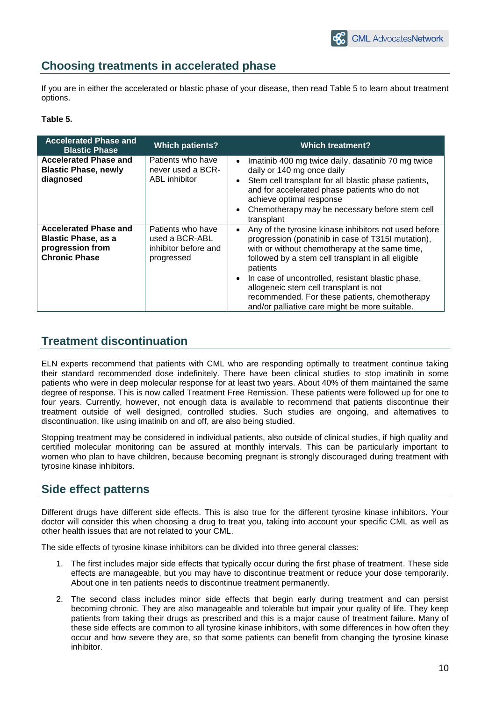# <span id="page-9-0"></span>**Choosing treatments in accelerated phase**

If you are in either the accelerated or blastic phase of your disease, then read Table 5 to learn about treatment options.

## **Table 5.**

| <b>Accelerated Phase and</b><br><b>Blastic Phase</b>                                                   | <b>Which patients?</b>                                                    | <b>Which treatment?</b>                                                                                                                                                                                                                                                                                                                                                                                                                                     |
|--------------------------------------------------------------------------------------------------------|---------------------------------------------------------------------------|-------------------------------------------------------------------------------------------------------------------------------------------------------------------------------------------------------------------------------------------------------------------------------------------------------------------------------------------------------------------------------------------------------------------------------------------------------------|
| <b>Accelerated Phase and</b><br><b>Blastic Phase, newly</b><br>diagnosed                               | Patients who have<br>never used a BCR-<br>ABL inhibitor                   | Imatinib 400 mg twice daily, dasatinib 70 mg twice<br>$\bullet$<br>daily or 140 mg once daily<br>Stem cell transplant for all blastic phase patients,<br>$\bullet$<br>and for accelerated phase patients who do not<br>achieve optimal response<br>Chemotherapy may be necessary before stem cell<br>$\bullet$<br>transplant                                                                                                                                |
| <b>Accelerated Phase and</b><br><b>Blastic Phase, as a</b><br>progression from<br><b>Chronic Phase</b> | Patients who have<br>used a BCR-ABL<br>inhibitor before and<br>progressed | Any of the tyrosine kinase inhibitors not used before<br>$\bullet$<br>progression (ponatinib in case of T315I mutation),<br>with or without chemotherapy at the same time,<br>followed by a stem cell transplant in all eligible<br>patients<br>In case of uncontrolled, resistant blastic phase,<br>$\bullet$<br>allogeneic stem cell transplant is not<br>recommended. For these patients, chemotherapy<br>and/or palliative care might be more suitable. |

# <span id="page-9-1"></span>**Treatment discontinuation**

ELN experts recommend that patients with CML who are responding optimally to treatment continue taking their standard recommended dose indefinitely. There have been clinical studies to stop imatinib in some patients who were in deep molecular response for at least two years. About 40% of them maintained the same degree of response. This is now called Treatment Free Remission. These patients were followed up for one to four years. Currently, however, not enough data is available to recommend that patients discontinue their treatment outside of well designed, controlled studies. Such studies are ongoing, and alternatives to discontinuation, like using imatinib on and off, are also being studied.

Stopping treatment may be considered in individual patients, also outside of clinical studies, if high quality and certified molecular monitoring can be assured at monthly intervals. This can be particularly important to women who plan to have children, because becoming pregnant is strongly discouraged during treatment with tyrosine kinase inhibitors.

# <span id="page-9-2"></span>**Side effect patterns**

Different drugs have different side effects. This is also true for the different tyrosine kinase inhibitors. Your doctor will consider this when choosing a drug to treat you, taking into account your specific CML as well as other health issues that are not related to your CML.

The side effects of tyrosine kinase inhibitors can be divided into three general classes:

- 1. The first includes major side effects that typically occur during the first phase of treatment. These side effects are manageable, but you may have to discontinue treatment or reduce your dose temporarily. About one in ten patients needs to discontinue treatment permanently.
- 2. The second class includes minor side effects that begin early during treatment and can persist becoming chronic. They are also manageable and tolerable but impair your quality of life. They keep patients from taking their drugs as prescribed and this is a major cause of treatment failure. Many of these side effects are common to all tyrosine kinase inhibitors, with some differences in how often they occur and how severe they are, so that some patients can benefit from changing the tyrosine kinase inhibitor.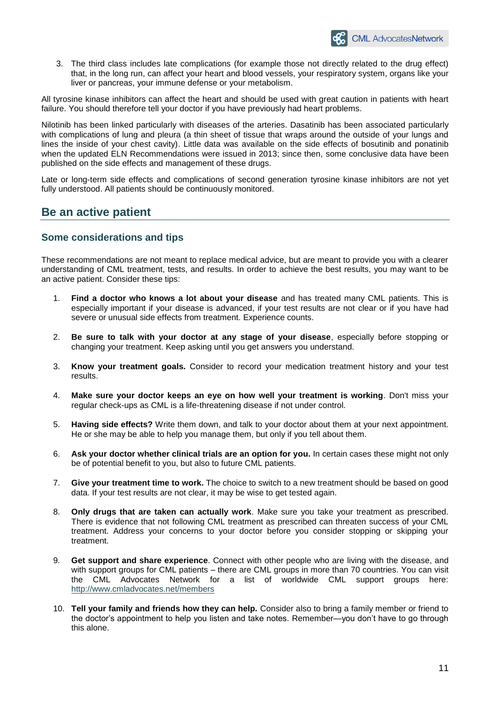

3. The third class includes late complications (for example those not directly related to the drug effect) that, in the long run, can affect your heart and blood vessels, your respiratory system, organs like your liver or pancreas, your immune defense or your metabolism.

All tyrosine kinase inhibitors can affect the heart and should be used with great caution in patients with heart failure. You should therefore tell your doctor if you have previously had heart problems.

Nilotinib has been linked particularly with diseases of the arteries. Dasatinib has been associated particularly with complications of lung and pleura (a thin sheet of tissue that wraps around the outside of your lungs and lines the inside of your chest cavity). Little data was available on the side effects of bosutinib and ponatinib when the updated ELN Recommendations were issued in 2013; since then, some conclusive data have been published on the side effects and management of these drugs.

Late or long-term side effects and complications of second generation tyrosine kinase inhibitors are not yet fully understood. All patients should be continuously monitored.

# <span id="page-10-0"></span>**Be an active patient**

## <span id="page-10-1"></span>**Some considerations and tips**

These recommendations are not meant to replace medical advice, but are meant to provide you with a clearer understanding of CML treatment, tests, and results. In order to achieve the best results, you may want to be an active patient. Consider these tips:

- 1. **Find a doctor who knows a lot about your disease** and has treated many CML patients. This is especially important if your disease is advanced, if your test results are not clear or if you have had severe or unusual side effects from treatment. Experience counts.
- 2. **Be sure to talk with your doctor at any stage of your disease**, especially before stopping or changing your treatment. Keep asking until you get answers you understand.
- 3. **Know your treatment goals.** Consider to record your medication treatment history and your test results.
- 4. **Make sure your doctor keeps an eye on how well your treatment is working**. Don't miss your regular check-ups as CML is a life-threatening disease if not under control.
- 5. **Having side effects?** Write them down, and talk to your doctor about them at your next appointment. He or she may be able to help you manage them, but only if you tell about them.
- 6. **Ask your doctor whether clinical trials are an option for you.** In certain cases these might not only be of potential benefit to you, but also to future CML patients.
- 7. **Give your treatment time to work.** The choice to switch to a new treatment should be based on good data. If your test results are not clear, it may be wise to get tested again.
- 8. **Only drugs that are taken can actually work**. Make sure you take your treatment as prescribed. There is evidence that not following CML treatment as prescribed can threaten success of your CML treatment. Address your concerns to your doctor before you consider stopping or skipping your treatment.
- 9. **Get support and share experience**. Connect with other people who are living with the disease, and with support groups for CML patients – there are CML groups in more than 70 countries. You can visit the CML Advocates Network for a list of worldwide CML support groups here: <http://www.cmladvocates.net/members>
- 10. **Tell your family and friends how they can help.** Consider also to bring a family member or friend to the doctor's appointment to help you listen and take notes. Remember—you don't have to go through this alone.